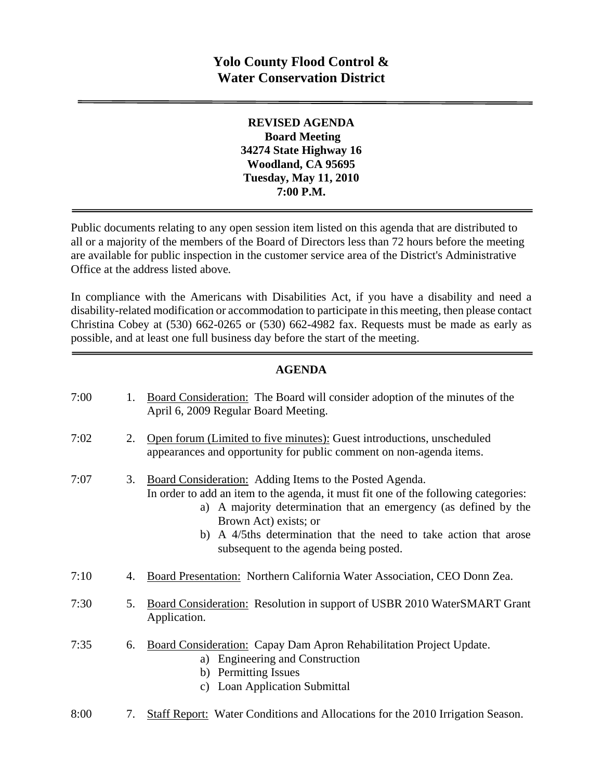**REVISED AGENDA Board Meeting 34274 State Highway 16 Woodland, CA 95695 Tuesday, May 11, 2010 7:00 P.M.** 

Public documents relating to any open session item listed on this agenda that are distributed to all or a majority of the members of the Board of Directors less than 72 hours before the meeting are available for public inspection in the customer service area of the District's Administrative Office at the address listed above*.* 

In compliance with the Americans with Disabilities Act, if you have a disability and need a disability-related modification or accommodation to participate in this meeting, then please contact Christina Cobey at (530) 662-0265 or (530) 662-4982 fax. Requests must be made as early as possible, and at least one full business day before the start of the meeting.

#### **AGENDA**

| 7:00 | 1. | Board Consideration: The Board will consider adoption of the minutes of the<br>April 6, 2009 Regular Board Meeting.                                                                                                                                                                                                                                           |
|------|----|---------------------------------------------------------------------------------------------------------------------------------------------------------------------------------------------------------------------------------------------------------------------------------------------------------------------------------------------------------------|
| 7:02 | 2. | Open forum (Limited to five minutes): Guest introductions, unscheduled<br>appearances and opportunity for public comment on non-agenda items.                                                                                                                                                                                                                 |
| 7:07 | 3. | Board Consideration: Adding Items to the Posted Agenda.<br>In order to add an item to the agenda, it must fit one of the following categories:<br>A majority determination that an emergency (as defined by the<br>a)<br>Brown Act) exists; or<br>b) A 4/5ths determination that the need to take action that arose<br>subsequent to the agenda being posted. |
| 7:10 | 4. | Board Presentation: Northern California Water Association, CEO Donn Zea.                                                                                                                                                                                                                                                                                      |
| 7:30 | 5. | Board Consideration: Resolution in support of USBR 2010 WaterSMART Grant<br>Application.                                                                                                                                                                                                                                                                      |
| 7:35 | 6. | Board Consideration: Capay Dam Apron Rehabilitation Project Update.<br><b>Engineering and Construction</b><br>a)<br>b) Permitting Issues<br><b>Loan Application Submittal</b><br>c)                                                                                                                                                                           |
| 8:00 | 7. | <b>Staff Report:</b> Water Conditions and Allocations for the 2010 Irrigation Season.                                                                                                                                                                                                                                                                         |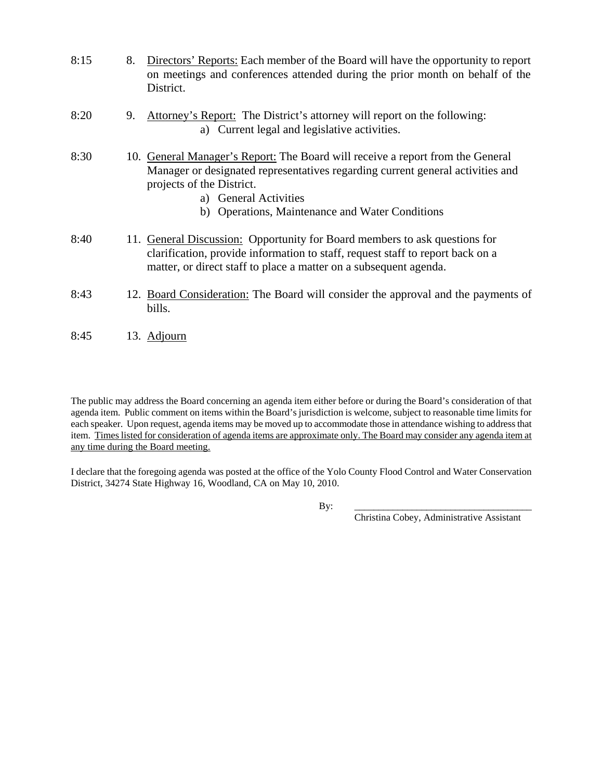| 8:15 | 8. | Directors' Reports: Each member of the Board will have the opportunity to report<br>on meetings and conferences attended during the prior month on behalf of the<br>District.                                                                                             |
|------|----|---------------------------------------------------------------------------------------------------------------------------------------------------------------------------------------------------------------------------------------------------------------------------|
| 8:20 | 9. | Attorney's Report: The District's attorney will report on the following:<br>a) Current legal and legislative activities.                                                                                                                                                  |
| 8:30 |    | 10. General Manager's Report: The Board will receive a report from the General<br>Manager or designated representatives regarding current general activities and<br>projects of the District.<br>a) General Activities<br>b) Operations, Maintenance and Water Conditions |
| 8:40 |    | 11. General Discussion: Opportunity for Board members to ask questions for<br>clarification, provide information to staff, request staff to report back on a<br>matter, or direct staff to place a matter on a subsequent agenda.                                         |
| 8:43 |    | 12. Board Consideration: The Board will consider the approval and the payments of<br>bills.                                                                                                                                                                               |
| 8:45 |    | 13. Adjourn                                                                                                                                                                                                                                                               |

The public may address the Board concerning an agenda item either before or during the Board's consideration of that agenda item. Public comment on items within the Board's jurisdiction is welcome, subject to reasonable time limits for each speaker. Upon request, agenda items may be moved up to accommodate those in attendance wishing to address that item. Times listed for consideration of agenda items are approximate only. The Board may consider any agenda item at any time during the Board meeting.

I declare that the foregoing agenda was posted at the office of the Yolo County Flood Control and Water Conservation District, 34274 State Highway 16, Woodland, CA on May 10, 2010.

By: \_\_\_\_\_\_\_\_\_\_\_\_\_\_\_\_\_\_\_\_\_\_\_\_\_\_\_\_\_\_\_\_\_\_\_\_\_

Christina Cobey, Administrative Assistant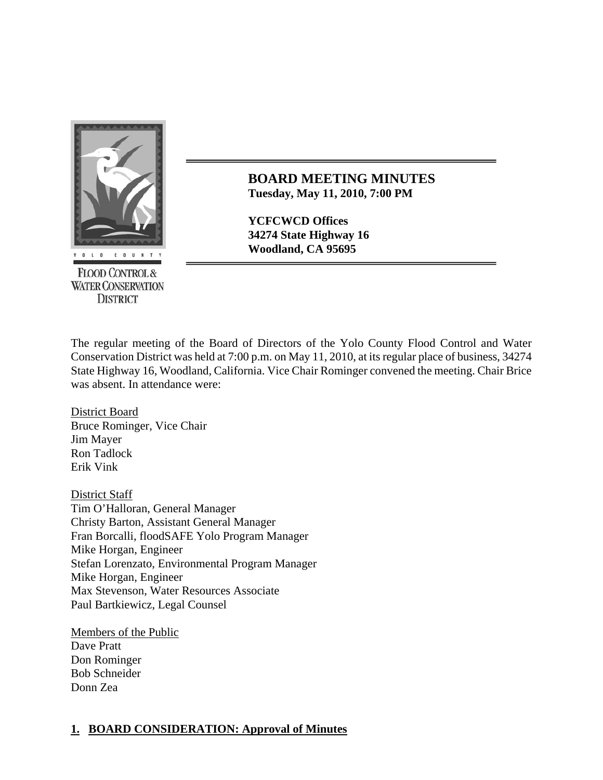

**FLOOD CONTROL & WATER CONSERVATION DISTRICT** 

**BOARD MEETING MINUTES Tuesday, May 11, 2010, 7:00 PM**

**YCFCWCD Offices 34274 State Highway 16** 

The regular meeting of the Board of Directors of the Yolo County Flood Control and Water Conservation District was held at 7:00 p.m. on May 11, 2010, at its regular place of business, 34274 State Highway 16, Woodland, California. Vice Chair Rominger convened the meeting. Chair Brice was absent. In attendance were:

District Board Bruce Rominger, Vice Chair Jim Mayer Ron Tadlock Erik Vink

District Staff Tim O'Halloran, General Manager Christy Barton, Assistant General Manager Fran Borcalli, floodSAFE Yolo Program Manager Mike Horgan, Engineer Stefan Lorenzato, Environmental Program Manager Mike Horgan, Engineer Max Stevenson, Water Resources Associate Paul Bartkiewicz, Legal Counsel

Members of the Public Dave Pratt Don Rominger Bob Schneider Donn Zea

## **1. BOARD CONSIDERATION: Approval of Minutes**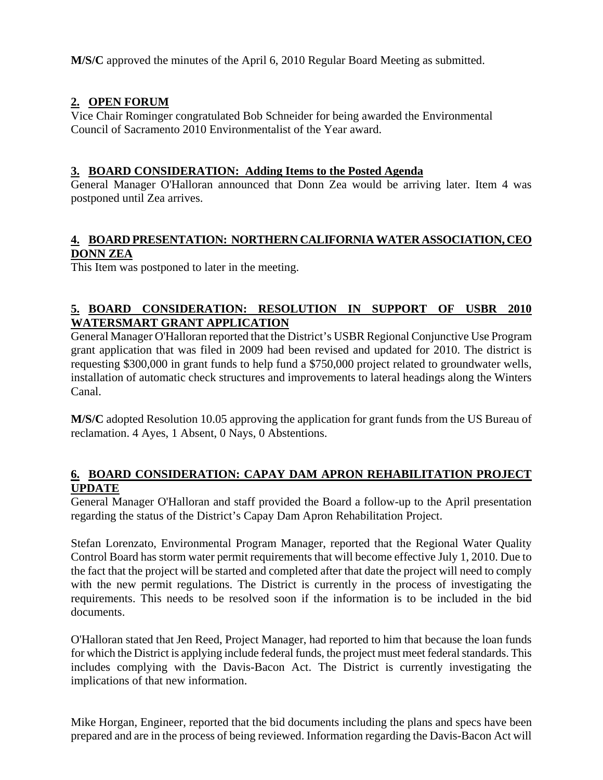**M/S/C** approved the minutes of the April 6, 2010 Regular Board Meeting as submitted.

# **2. OPEN FORUM**

Vice Chair Rominger congratulated Bob Schneider for being awarded the Environmental Council of Sacramento 2010 Environmentalist of the Year award.

### **3. BOARD CONSIDERATION: Adding Items to the Posted Agenda**

General Manager O'Halloran announced that Donn Zea would be arriving later. Item 4 was postponed until Zea arrives.

### **4. BOARD PRESENTATION: NORTHERN CALIFORNIA WATER ASSOCIATION, CEO DONN ZEA**

This Item was postponed to later in the meeting.

## **5. BOARD CONSIDERATION: RESOLUTION IN SUPPORT OF USBR 2010 WATERSMART GRANT APPLICATION**

General Manager O'Halloran reported that the District's USBR Regional Conjunctive Use Program grant application that was filed in 2009 had been revised and updated for 2010. The district is requesting \$300,000 in grant funds to help fund a \$750,000 project related to groundwater wells, installation of automatic check structures and improvements to lateral headings along the Winters Canal.

**M/S/C** adopted Resolution 10.05 approving the application for grant funds from the US Bureau of reclamation. 4 Ayes, 1 Absent, 0 Nays, 0 Abstentions.

#### **6. BOARD CONSIDERATION: CAPAY DAM APRON REHABILITATION PROJECT UPDATE**

General Manager O'Halloran and staff provided the Board a follow-up to the April presentation regarding the status of the District's Capay Dam Apron Rehabilitation Project.

Stefan Lorenzato, Environmental Program Manager, reported that the Regional Water Quality Control Board has storm water permit requirements that will become effective July 1, 2010. Due to the fact that the project will be started and completed after that date the project will need to comply with the new permit regulations. The District is currently in the process of investigating the requirements. This needs to be resolved soon if the information is to be included in the bid documents.

O'Halloran stated that Jen Reed, Project Manager, had reported to him that because the loan funds for which the District is applying include federal funds, the project must meet federal standards. This includes complying with the Davis-Bacon Act. The District is currently investigating the implications of that new information.

Mike Horgan, Engineer, reported that the bid documents including the plans and specs have been prepared and are in the process of being reviewed. Information regarding the Davis-Bacon Act will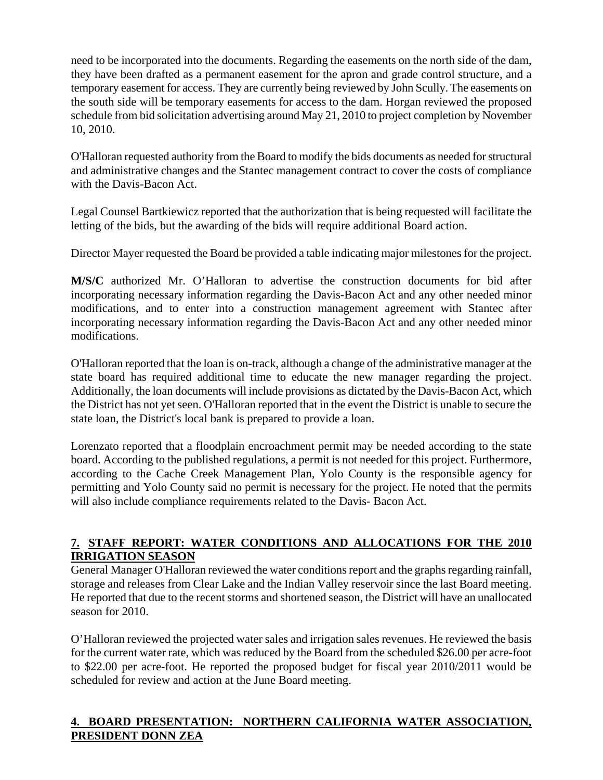need to be incorporated into the documents. Regarding the easements on the north side of the dam, they have been drafted as a permanent easement for the apron and grade control structure, and a temporary easement for access. They are currently being reviewed by John Scully. The easements on the south side will be temporary easements for access to the dam. Horgan reviewed the proposed schedule from bid solicitation advertising around May 21, 2010 to project completion by November 10, 2010.

O'Halloran requested authority from the Board to modify the bids documents as needed for structural and administrative changes and the Stantec management contract to cover the costs of compliance with the Davis-Bacon Act.

Legal Counsel Bartkiewicz reported that the authorization that is being requested will facilitate the letting of the bids, but the awarding of the bids will require additional Board action.

Director Mayer requested the Board be provided a table indicating major milestones for the project.

**M/S/C** authorized Mr. O'Halloran to advertise the construction documents for bid after incorporating necessary information regarding the Davis-Bacon Act and any other needed minor modifications, and to enter into a construction management agreement with Stantec after incorporating necessary information regarding the Davis-Bacon Act and any other needed minor modifications.

O'Halloran reported that the loan is on-track, although a change of the administrative manager at the state board has required additional time to educate the new manager regarding the project. Additionally, the loan documents will include provisions as dictated by the Davis-Bacon Act, which the District has not yet seen. O'Halloran reported that in the event the District is unable to secure the state loan, the District's local bank is prepared to provide a loan.

Lorenzato reported that a floodplain encroachment permit may be needed according to the state board. According to the published regulations, a permit is not needed for this project. Furthermore, according to the Cache Creek Management Plan, Yolo County is the responsible agency for permitting and Yolo County said no permit is necessary for the project. He noted that the permits will also include compliance requirements related to the Davis- Bacon Act.

## **7. STAFF REPORT: WATER CONDITIONS AND ALLOCATIONS FOR THE 2010 IRRIGATION SEASON**

General Manager O'Halloran reviewed the water conditions report and the graphs regarding rainfall, storage and releases from Clear Lake and the Indian Valley reservoir since the last Board meeting. He reported that due to the recent storms and shortened season, the District will have an unallocated season for 2010.

O'Halloran reviewed the projected water sales and irrigation sales revenues. He reviewed the basis for the current water rate, which was reduced by the Board from the scheduled \$26.00 per acre-foot to \$22.00 per acre-foot. He reported the proposed budget for fiscal year 2010/2011 would be scheduled for review and action at the June Board meeting.

## **4. BOARD PRESENTATION: NORTHERN CALIFORNIA WATER ASSOCIATION, PRESIDENT DONN ZEA**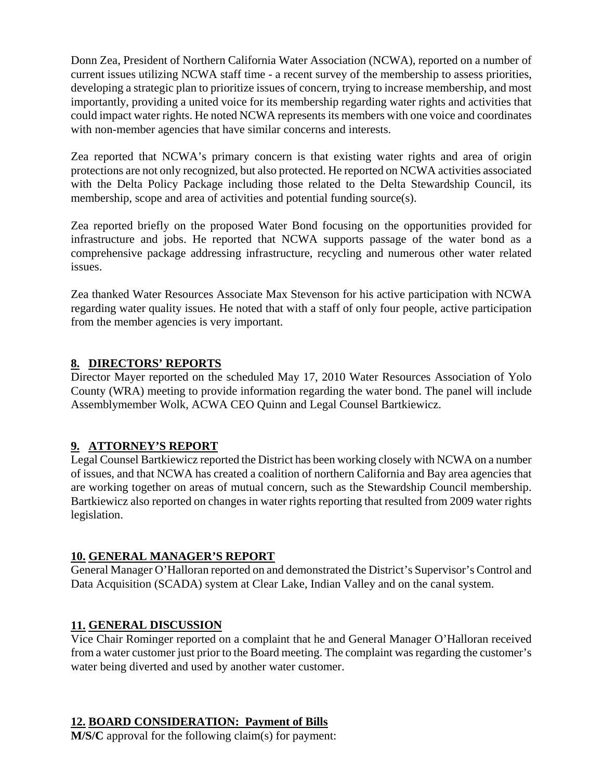Donn Zea, President of Northern California Water Association (NCWA), reported on a number of current issues utilizing NCWA staff time - a recent survey of the membership to assess priorities, developing a strategic plan to prioritize issues of concern, trying to increase membership, and most importantly, providing a united voice for its membership regarding water rights and activities that could impact water rights. He noted NCWA represents its members with one voice and coordinates with non-member agencies that have similar concerns and interests.

Zea reported that NCWA's primary concern is that existing water rights and area of origin protections are not only recognized, but also protected. He reported on NCWA activities associated with the Delta Policy Package including those related to the Delta Stewardship Council, its membership, scope and area of activities and potential funding source(s).

Zea reported briefly on the proposed Water Bond focusing on the opportunities provided for infrastructure and jobs. He reported that NCWA supports passage of the water bond as a comprehensive package addressing infrastructure, recycling and numerous other water related issues.

Zea thanked Water Resources Associate Max Stevenson for his active participation with NCWA regarding water quality issues. He noted that with a staff of only four people, active participation from the member agencies is very important.

## **8. DIRECTORS' REPORTS**

Director Mayer reported on the scheduled May 17, 2010 Water Resources Association of Yolo County (WRA) meeting to provide information regarding the water bond. The panel will include Assemblymember Wolk, ACWA CEO Quinn and Legal Counsel Bartkiewicz.

## **9. ATTORNEY'S REPORT**

Legal Counsel Bartkiewicz reported the District has been working closely with NCWA on a number of issues, and that NCWA has created a coalition of northern California and Bay area agencies that are working together on areas of mutual concern, such as the Stewardship Council membership. Bartkiewicz also reported on changes in water rights reporting that resulted from 2009 water rights legislation.

#### **10. GENERAL MANAGER'S REPORT**

General Manager O'Halloran reported on and demonstrated the District's Supervisor's Control and Data Acquisition (SCADA) system at Clear Lake, Indian Valley and on the canal system.

## **11. GENERAL DISCUSSION**

Vice Chair Rominger reported on a complaint that he and General Manager O'Halloran received from a water customer just prior to the Board meeting. The complaint was regarding the customer's water being diverted and used by another water customer.

#### **12. BOARD CONSIDERATION: Payment of Bills**

**M/S/C** approval for the following claim(s) for payment: